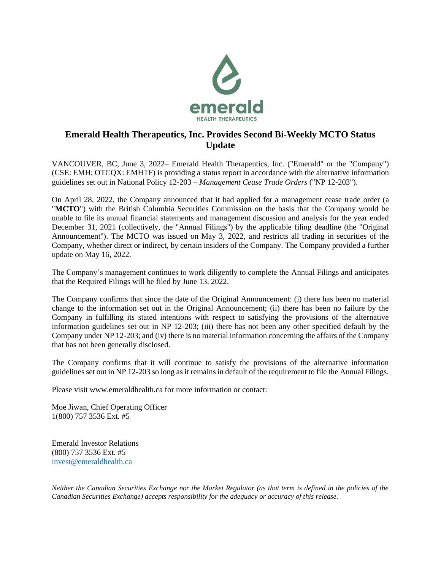

## **Emerald Health Therapeutics, Inc. Provides Second Bi-Weekly MCTO Status Update**

VANCOUVER, BC, June 3, 2022– Emerald Health Therapeutics, Inc. ("Emerald" or the "Company") (CSE: EMH; OTCQX: EMHTF) is providing a status report in accordance with the alternative information guidelines set out in National Policy 12-203 – *Management Cease Trade Orders* ("NP 12-203").

On April 28, 2022, the Company announced that it had applied for a management cease trade order (a "**MCTO**") with the British Columbia Securities Commission on the basis that the Company would be unable to file its annual financial statements and management discussion and analysis for the year ended December 31, 2021 (collectively, the "Annual Filings") by the applicable filing deadline (the "Original Announcement"). The MCTO was issued on May 3, 2022, and restricts all trading in securities of the Company, whether direct or indirect, by certain insiders of the Company. The Company provided a further update on May 16, 2022.

The Company's management continues to work diligently to complete the Annual Filings and anticipates that the Required Filings will be filed by June 13, 2022.

The Company confirms that since the date of the Original Announcement: (i) there has been no material change to the information set out in the Original Announcement; (ii) there has been no failure by the Company in fulfilling its stated intentions with respect to satisfying the provisions of the alternative information guidelines set out in NP 12-203; (iii) there has not been any other specified default by the Company under NP 12-203; and (iv) there is no material information concerning the affairs of the Company that has not been generally disclosed.

The Company confirms that it will continue to satisfy the provisions of the alternative information guidelines set out in NP 12-203 so long as it remains in default of the requirement to file the Annual Filings.

Please visit www.emeraldhealth.ca for more information or contact:

Moe Jiwan, Chief Operating Officer 1(800) 757 3536 Ext. #5

Emerald Investor Relations (800) 757 3536 Ext. #5 [invest@emeraldhealth.ca](mailto:invest@emeraldhealth.ca)

*Neither the Canadian Securities Exchange nor the Market Regulator (as that term is defined in the policies of the Canadian Securities Exchange) accepts responsibility for the adequacy or accuracy of this release.*